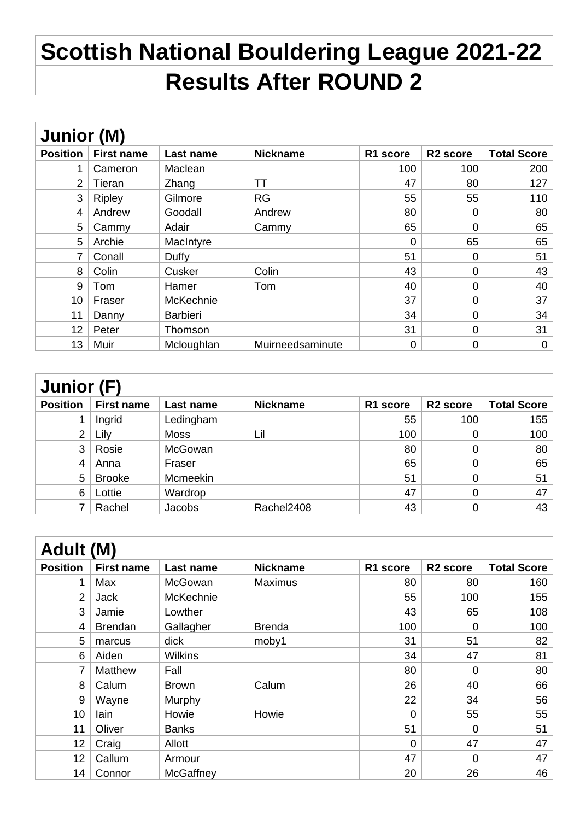## **Scottish National Bouldering League 2021-22 Results After ROUND 2**

| Junior (M)      |                   |                 |                  |          |                      |                    |  |
|-----------------|-------------------|-----------------|------------------|----------|----------------------|--------------------|--|
| <b>Position</b> | <b>First name</b> | Last name       | <b>Nickname</b>  | R1 score | R <sub>2</sub> score | <b>Total Score</b> |  |
| 1               | Cameron           | Maclean         |                  | 100      | 100                  | 200                |  |
| $\overline{2}$  | Tieran            | Zhang           | ТT               | 47       | 80                   | 127                |  |
| 3               | <b>Ripley</b>     | Gilmore         | <b>RG</b>        | 55       | 55                   | 110                |  |
| 4               | Andrew            | Goodall         | Andrew           | 80       | 0                    | 80                 |  |
| 5               | Cammy             | Adair           | Cammy            | 65       | 0                    | 65                 |  |
| 5               | Archie            | MacIntyre       |                  | 0        | 65                   | 65                 |  |
| 7               | Conall            | Duffy           |                  | 51       | 0                    | 51                 |  |
| 8               | Colin             | Cusker          | Colin            | 43       | 0                    | 43                 |  |
| 9               | Tom               | Hamer           | Tom              | 40       | 0                    | 40                 |  |
| 10              | Fraser            | McKechnie       |                  | 37       | 0                    | 37                 |  |
| 11              | Danny             | <b>Barbieri</b> |                  | 34       | 0                    | 34                 |  |
| 12              | Peter             | Thomson         |                  | 31       | 0                    | 31                 |  |
| 13              | Muir              | Mcloughlan      | Muirneedsaminute | 0        | 0                    | $\mathbf 0$        |  |

| Junior (F)      |                   |             |                 |                      |                      |                    |  |
|-----------------|-------------------|-------------|-----------------|----------------------|----------------------|--------------------|--|
| <b>Position</b> | <b>First name</b> | Last name   | <b>Nickname</b> | R <sub>1</sub> score | R <sub>2</sub> score | <b>Total Score</b> |  |
|                 | Ingrid            | Ledingham   |                 | 55                   | 100                  | 155                |  |
| $\overline{2}$  | Lily              | <b>Moss</b> | Lil             | 100                  | 0                    | 100                |  |
| 3               | Rosie             | McGowan     |                 | 80                   | 0                    | 80                 |  |
| 4               | Anna              | Fraser      |                 | 65                   | 0                    | 65                 |  |
| 5               | <b>Brooke</b>     | Mcmeekin    |                 | 51                   | 0                    | 51                 |  |
| 6               | Lottie            | Wardrop     |                 | 47                   | 0                    | 47                 |  |
|                 | Rachel            | Jacobs      | Rachel2408      | 43                   | 0                    | 43                 |  |

| Adult (M)       |                   |                  |                 |          |                      |                    |  |
|-----------------|-------------------|------------------|-----------------|----------|----------------------|--------------------|--|
| <b>Position</b> | <b>First name</b> | Last name        | <b>Nickname</b> | R1 score | R <sub>2</sub> score | <b>Total Score</b> |  |
| 1               | Max               | McGowan          | <b>Maximus</b>  | 80       | 80                   | 160                |  |
| 2               | Jack              | McKechnie        |                 | 55       | 100                  | 155                |  |
| 3               | Jamie             | Lowther          |                 | 43       | 65                   | 108                |  |
| $\overline{4}$  | <b>Brendan</b>    | Gallagher        | <b>Brenda</b>   | 100      | 0                    | 100                |  |
| 5               | marcus            | dick             | moby1           | 31       | 51                   | 82                 |  |
| 6               | Aiden             | <b>Wilkins</b>   |                 | 34       | 47                   | 81                 |  |
| 7               | Matthew           | Fall             |                 | 80       | 0                    | 80                 |  |
| 8               | Calum             | Brown            | Calum           | 26       | 40                   | 66                 |  |
| 9               | Wayne             | Murphy           |                 | 22       | 34                   | 56                 |  |
| 10              | lain              | Howie            | Howie           | $\Omega$ | 55                   | 55                 |  |
| 11              | Oliver            | <b>Banks</b>     |                 | 51       | 0                    | 51                 |  |
| 12              | Craig             | Allott           |                 | 0        | 47                   | 47                 |  |
| 12              | Callum            | Armour           |                 | 47       | 0                    | 47                 |  |
| 14              | Connor            | <b>McGaffney</b> |                 | 20       | 26                   | 46                 |  |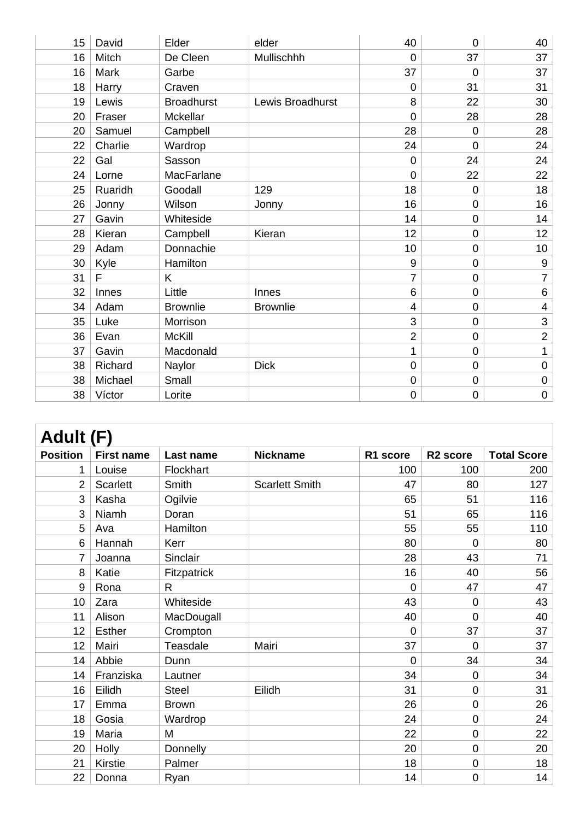| 15 | David   | Elder             | elder            | 40             | $\Omega$       | 40              |
|----|---------|-------------------|------------------|----------------|----------------|-----------------|
| 16 | Mitch   | De Cleen          | Mullischhh       | 0              | 37             | 37              |
| 16 | Mark    | Garbe             |                  | 37             | $\Omega$       | 37              |
| 18 | Harry   | Craven            |                  | $\overline{0}$ | 31             | 31              |
| 19 | Lewis   | <b>Broadhurst</b> | Lewis Broadhurst | 8              | 22             | 30              |
| 20 | Fraser  | Mckellar          |                  | $\overline{0}$ | 28             | 28              |
| 20 | Samuel  | Campbell          |                  | 28             | $\overline{0}$ | 28              |
| 22 | Charlie | Wardrop           |                  | 24             | $\overline{0}$ | 24              |
| 22 | Gal     | Sasson            |                  | $\mathbf 0$    | 24             | 24              |
| 24 | Lorne   | MacFarlane        |                  | $\overline{0}$ | 22             | 22              |
| 25 | Ruaridh | Goodall           | 129              | 18             | $\overline{0}$ | 18              |
| 26 | Jonny   | Wilson            | Jonny            | 16             | 0              | 16              |
| 27 | Gavin   | Whiteside         |                  | 14             | 0              | 14              |
| 28 | Kieran  | Campbell          | Kieran           | 12             | $\mathbf 0$    | 12              |
| 29 | Adam    | Donnachie         |                  | 10             | 0              | 10 <sub>1</sub> |
| 30 | Kyle    | Hamilton          |                  | 9              | 0              | $9\,$           |
| 31 | F       | K                 |                  | $\overline{7}$ | 0              | $\overline{7}$  |
| 32 | Innes   | Little            | Innes            | 6              | $\overline{0}$ | $\,6\,$         |
| 34 | Adam    | <b>Brownlie</b>   | <b>Brownlie</b>  | 4              | 0              | $\overline{4}$  |
| 35 | Luke    | Morrison          |                  | 3              | 0              | 3               |
| 36 | Evan    | <b>McKill</b>     |                  | $\overline{2}$ | 0              | $\overline{2}$  |
| 37 | Gavin   | Macdonald         |                  | 1              | 0              | 1               |
| 38 | Richard | Naylor            | <b>Dick</b>      | $\mathbf 0$    | 0              | 0               |
| 38 | Michael | Small             |                  | $\mathbf 0$    | $\overline{0}$ | $\pmb{0}$       |
| 38 | Víctor  | Lorite            |                  | $\mathbf 0$    | 0              | $\pmb{0}$       |

| Adult (F)       |                   |              |                       |                |                      |                    |  |
|-----------------|-------------------|--------------|-----------------------|----------------|----------------------|--------------------|--|
| <b>Position</b> | <b>First name</b> | Last name    | <b>Nickname</b>       | R1 score       | R <sub>2</sub> score | <b>Total Score</b> |  |
| 1               | Louise            | Flockhart    |                       | 100            | 100                  | 200                |  |
| 2               | <b>Scarlett</b>   | Smith        | <b>Scarlett Smith</b> | 47             | 80                   | 127                |  |
| 3               | Kasha             | Ogilvie      |                       | 65             | 51                   | 116                |  |
| 3               | Niamh             | Doran        |                       | 51             | 65                   | 116                |  |
| 5               | Ava               | Hamilton     |                       | 55             | 55                   | 110                |  |
| 6               | Hannah            | Kerr         |                       | 80             | $\overline{0}$       | 80                 |  |
| 7               | Joanna            | Sinclair     |                       | 28             | 43                   | 71                 |  |
| 8               | Katie             | Fitzpatrick  |                       | 16             | 40                   | 56                 |  |
| 9               | Rona              | R            |                       | $\Omega$       | 47                   | 47                 |  |
| 10              | Zara              | Whiteside    |                       | 43             | $\overline{0}$       | 43                 |  |
| 11              | Alison            | MacDougall   |                       | 40             | $\overline{0}$       | 40                 |  |
| 12              | <b>Esther</b>     | Crompton     |                       | $\overline{0}$ | 37                   | 37                 |  |
| 12              | Mairi             | Teasdale     | Mairi                 | 37             | $\overline{0}$       | 37                 |  |
| 14              | Abbie             | Dunn         |                       | $\overline{0}$ | 34                   | 34                 |  |
| 14              | Franziska         | Lautner      |                       | 34             | $\overline{0}$       | 34                 |  |
| 16              | Eilidh            | <b>Steel</b> | Eilidh                | 31             | $\overline{0}$       | 31                 |  |
| 17              | Emma              | <b>Brown</b> |                       | 26             | $\mathbf 0$          | 26                 |  |
| 18              | Gosia             | Wardrop      |                       | 24             | $\mathbf 0$          | 24                 |  |
| 19              | Maria             | M            |                       | 22             | $\mathbf 0$          | 22                 |  |
| 20              | Holly             | Donnelly     |                       | 20             | $\mathbf 0$          | 20                 |  |
| 21              | Kirstie           | Palmer       |                       | 18             | $\mathbf 0$          | 18                 |  |
| 22              | Donna             | Ryan         |                       | 14             | $\mathbf 0$          | 14                 |  |